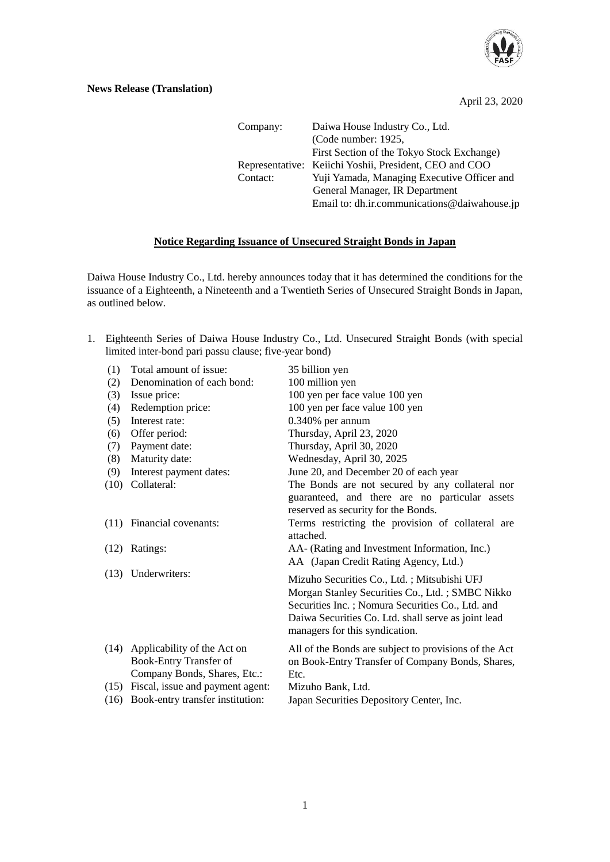

April 23, 2020

| Company: | Daiwa House Industry Co., Ltd.                         |
|----------|--------------------------------------------------------|
|          | (Code number: 1925,                                    |
|          | First Section of the Tokyo Stock Exchange)             |
|          | Representative: Keiichi Yoshii, President, CEO and COO |
| Contact: | Yuji Yamada, Managing Executive Officer and            |
|          | General Manager, IR Department                         |
|          | Email to: dh.ir.communications@daiwahouse.jp           |

## **Notice Regarding Issuance of Unsecured Straight Bonds in Japan**

Daiwa House Industry Co., Ltd. hereby announces today that it has determined the conditions for the issuance of a Eighteenth, a Nineteenth and a Twentieth Series of Unsecured Straight Bonds in Japan, as outlined below.

1. Eighteenth Series of Daiwa House Industry Co., Ltd. Unsecured Straight Bonds (with special limited inter-bond pari passu clause; five-year bond)

| (1)  | Total amount of issue:                                                                       | 35 billion yen                                                                                                                                                                                                                              |
|------|----------------------------------------------------------------------------------------------|---------------------------------------------------------------------------------------------------------------------------------------------------------------------------------------------------------------------------------------------|
| (2)  | Denomination of each bond:                                                                   | 100 million yen                                                                                                                                                                                                                             |
| (3)  | Issue price:                                                                                 | 100 yen per face value 100 yen                                                                                                                                                                                                              |
| (4)  | Redemption price:                                                                            | 100 yen per face value 100 yen                                                                                                                                                                                                              |
| (5)  | Interest rate:                                                                               | $0.340\%$ per annum                                                                                                                                                                                                                         |
| (6)  | Offer period:                                                                                | Thursday, April 23, 2020                                                                                                                                                                                                                    |
| (7)  | Payment date:                                                                                | Thursday, April 30, 2020                                                                                                                                                                                                                    |
| (8)  | Maturity date:                                                                               | Wednesday, April 30, 2025                                                                                                                                                                                                                   |
| (9)  | Interest payment dates:                                                                      | June 20, and December 20 of each year                                                                                                                                                                                                       |
| (10) | Collateral:                                                                                  | The Bonds are not secured by any collateral nor<br>guaranteed, and there are no particular assets<br>reserved as security for the Bonds.                                                                                                    |
|      | (11) Financial covenants:                                                                    | Terms restricting the provision of collateral are<br>attached.                                                                                                                                                                              |
| (12) | Ratings:                                                                                     | AA- (Rating and Investment Information, Inc.)<br>AA (Japan Credit Rating Agency, Ltd.)                                                                                                                                                      |
|      | (13) Underwriters:                                                                           | Mizuho Securities Co., Ltd.; Mitsubishi UFJ<br>Morgan Stanley Securities Co., Ltd.; SMBC Nikko<br>Securities Inc.; Nomura Securities Co., Ltd. and<br>Daiwa Securities Co. Ltd. shall serve as joint lead<br>managers for this syndication. |
| (14) | Applicability of the Act on<br><b>Book-Entry Transfer of</b><br>Company Bonds, Shares, Etc.: | All of the Bonds are subject to provisions of the Act<br>on Book-Entry Transfer of Company Bonds, Shares,<br>Etc.                                                                                                                           |
| (15) | Fiscal, issue and payment agent:                                                             | Mizuho Bank, Ltd.                                                                                                                                                                                                                           |
| (16) | Book-entry transfer institution:                                                             | Japan Securities Depository Center, Inc.                                                                                                                                                                                                    |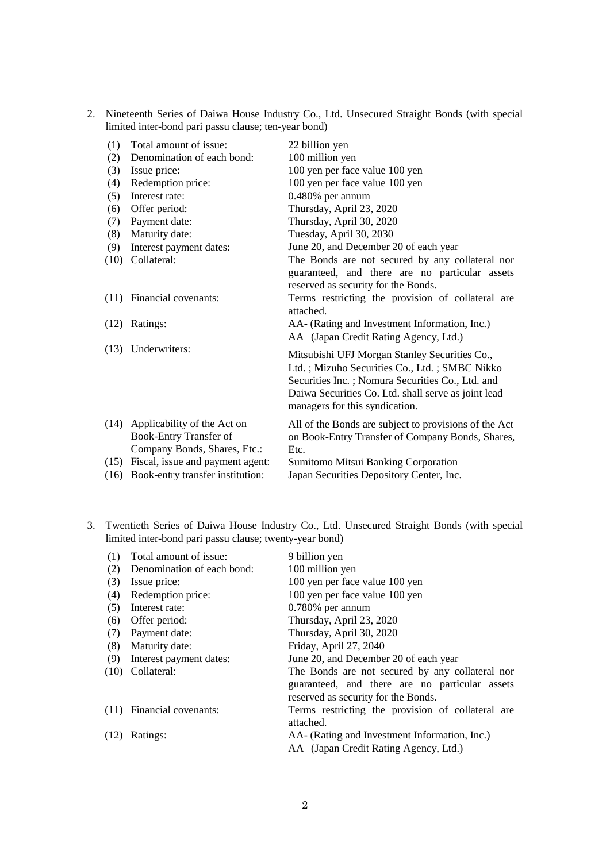2. Nineteenth Series of Daiwa House Industry Co., Ltd. Unsecured Straight Bonds (with special limited inter-bond pari passu clause; ten-year bond)

| (1)  | Total amount of issue:                                                                     | 22 billion yen                                                                                                                                                                                                                              |
|------|--------------------------------------------------------------------------------------------|---------------------------------------------------------------------------------------------------------------------------------------------------------------------------------------------------------------------------------------------|
| (2)  | Denomination of each bond:                                                                 | 100 million yen                                                                                                                                                                                                                             |
| (3)  | Issue price:                                                                               | 100 yen per face value 100 yen                                                                                                                                                                                                              |
| (4)  | Redemption price:                                                                          | 100 yen per face value 100 yen                                                                                                                                                                                                              |
| (5)  | Interest rate:                                                                             | 0.480% per annum                                                                                                                                                                                                                            |
| (6)  | Offer period:                                                                              | Thursday, April 23, 2020                                                                                                                                                                                                                    |
| (7)  | Payment date:                                                                              | Thursday, April 30, 2020                                                                                                                                                                                                                    |
| (8)  | Maturity date:                                                                             | Tuesday, April 30, 2030                                                                                                                                                                                                                     |
| (9)  | Interest payment dates:                                                                    | June 20, and December 20 of each year                                                                                                                                                                                                       |
| (10) | Collateral:                                                                                | The Bonds are not secured by any collateral nor<br>guaranteed, and there are no particular assets<br>reserved as security for the Bonds.                                                                                                    |
| (11) | Financial covenants:                                                                       | Terms restricting the provision of collateral are<br>attached.                                                                                                                                                                              |
|      | $(12)$ Ratings:                                                                            | AA- (Rating and Investment Information, Inc.)<br>AA (Japan Credit Rating Agency, Ltd.)                                                                                                                                                      |
|      | (13) Underwriters:                                                                         | Mitsubishi UFJ Morgan Stanley Securities Co.,<br>Ltd.; Mizuho Securities Co., Ltd.; SMBC Nikko<br>Securities Inc.; Nomura Securities Co., Ltd. and<br>Daiwa Securities Co. Ltd. shall serve as joint lead<br>managers for this syndication. |
|      | (14) Applicability of the Act on<br>Book-Entry Transfer of<br>Company Bonds, Shares, Etc.: | All of the Bonds are subject to provisions of the Act<br>on Book-Entry Transfer of Company Bonds, Shares,<br>Etc.                                                                                                                           |
| (15) | Fiscal, issue and payment agent:<br>(16) Book-entry transfer institution:                  | <b>Sumitomo Mitsui Banking Corporation</b><br>Japan Securities Depository Center, Inc.                                                                                                                                                      |

3. Twentieth Series of Daiwa House Industry Co., Ltd. Unsecured Straight Bonds (with special limited inter-bond pari passu clause; twenty-year bond)

| (1)  | Total amount of issue:     | 9 billion yen                                     |
|------|----------------------------|---------------------------------------------------|
| (2)  | Denomination of each bond: | 100 million yen                                   |
| (3)  | Issue price:               | 100 yen per face value 100 yen                    |
| (4)  | Redemption price:          | 100 yen per face value 100 yen                    |
| (5)  | Interest rate:             | $0.780\%$ per annum                               |
| (6)  | Offer period:              | Thursday, April 23, 2020                          |
| (7)  | Payment date:              | Thursday, April 30, 2020                          |
| (8)  | Maturity date:             | Friday, April 27, 2040                            |
| (9)  | Interest payment dates:    | June 20, and December 20 of each year             |
|      | $(10)$ Collateral:         | The Bonds are not secured by any collateral nor   |
|      |                            | guaranteed, and there are no particular assets    |
|      |                            | reserved as security for the Bonds.               |
|      | (11) Financial covenants:  | Terms restricting the provision of collateral are |
|      |                            | attached.                                         |
| (12) | Ratings:                   | AA- (Rating and Investment Information, Inc.)     |
|      |                            | AA (Japan Credit Rating Agency, Ltd.)             |